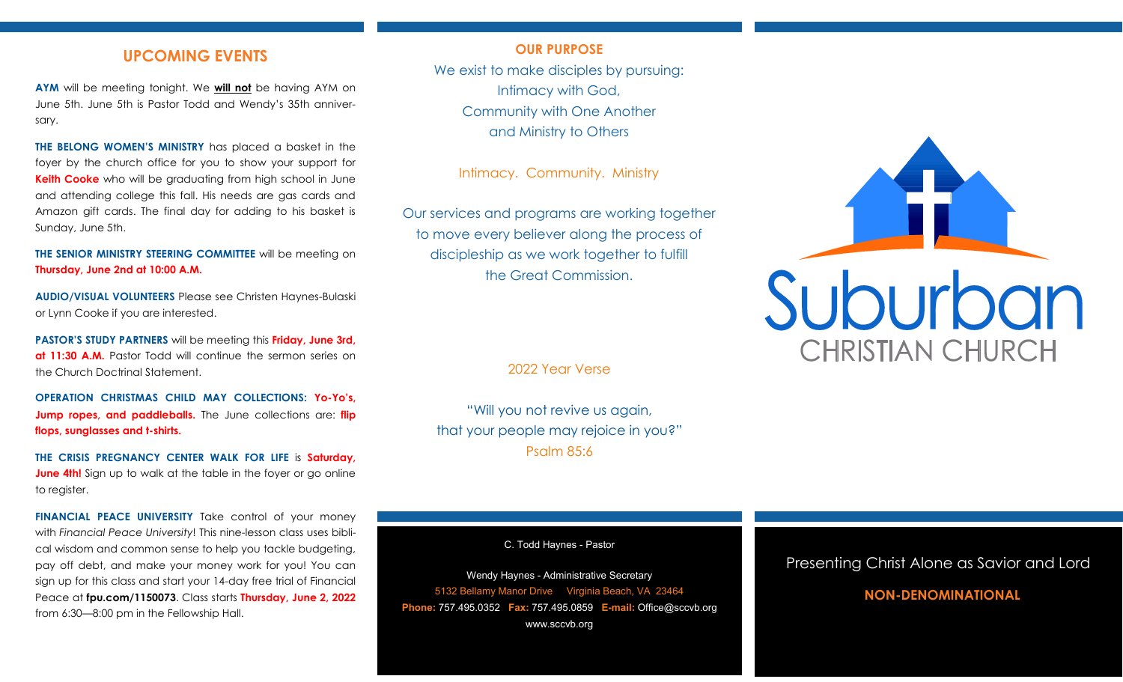## **UPCOMING EVENTS**

**AYM** will be meeting tonight. We **will not** be having AYM on June 5th. June 5th is Pastor Todd and Wendy's 35th anniversary.

**THE BELONG WOMEN'S MINISTRY** has placed a basket in the foyer by the church office for you to show your support for **Keith Cooke** who will be graduating from high school in June and attending college this fall. His needs are gas cards and Amazon gift cards. The final day for adding to his basket is Sunday, June 5th.

**THE SENIOR MINISTRY STEERING COMMITTEE** will be meeting on **Thursday, June 2nd at 10:00 A.M.**

**AUDIO/VISUAL VOLUNTEERS** Please see Christen Haynes-Bulaski or Lynn Cooke if you are interested.

**PASTOR'S STUDY PARTNERS** will be meeting this **Friday, June 3rd, at 11:30 A.M.** Pastor Todd will continue the sermon series on the Church Doctrinal Statement.

**OPERATION CHRISTMAS CHILD MAY COLLECTIONS: Yo-Yo's, Jump ropes, and paddleballs.** The June collections are: **flip flops, sunglasses and t-shirts.**

**THE CRISIS PREGNANCY CENTER WALK FOR LIFE** is **Saturday, June 4th!** Sign up to walk at the table in the foyer or go online to register.

**FINANCIAL PEACE UNIVERSITY** Take control of your money with *Financial Peace University*! This nine-lesson class uses biblical wisdom and common sense to help you tackle budgeting, pay off debt, and make your money work for you! You can sign up for this class and start your 14-day free trial of Financial Peace at **fpu.com/1150073**. Class starts **Thursday, June 2, 2022** from 6:30—8:00 pm in the Fellowship Hall.

#### **OUR PURPOSE**

We exist to make disciples by pursuing: Intimacy with God, Community with One Another and Ministry to Others

Intimacy. Community. Ministry

Our services and programs are working together to move every believer along the process of discipleship as we work together to fulfill the Great Commission.

2022 Year Verse

"Will you not revive us again, that your people may rejoice in you?" Psalm 85:6

C. Todd Haynes - Pastor

Wendy Haynes - Administrative Secretary 5132 Bellamy Manor Drive Virginia Beach, VA 23464 **Phone:** 757.495.0352 **Fax:** 757.495.0859 **E-mail:** Office@sccvb.org www.sccvb.org



### Presenting Christ Alone as Savior and Lord

## **NON-DENOMINATIONAL**